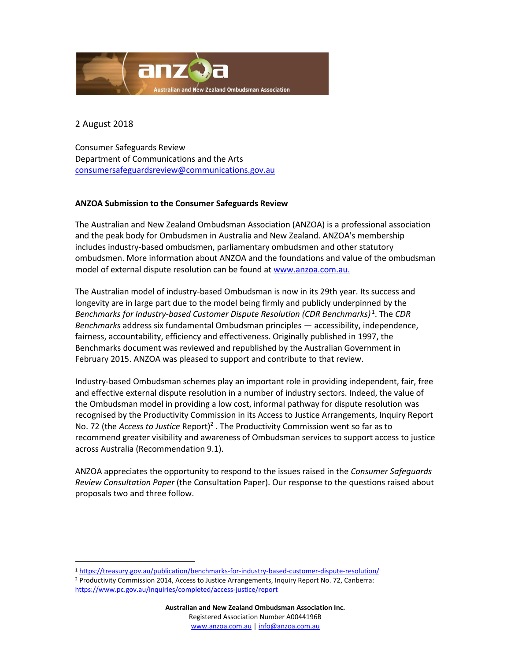

2 August 2018

 $\overline{a}$ 

Consumer Safeguards Review Department of Communications and the Arts [consumersafeguardsreview@communications.gov.au](mailto:consumersafeguardsreview@communications.gov.au)

#### **ANZOA Submission to the Consumer Safeguards Review**

The Australian and New Zealand Ombudsman Association (ANZOA) is a professional association and the peak body for Ombudsmen in Australia and New Zealand. ANZOA's membership includes industry-based ombudsmen, parliamentary ombudsmen and other statutory ombudsmen. More information about ANZOA and the foundations and value of the ombudsman model of external dispute resolution can be found at [www.anzoa.com.au.](http://www.anzoa.com.au/)

The Australian model of industry-based Ombudsman is now in its 29th year. Its success and longevity are in large part due to the model being firmly and publicly underpinned by the *Benchmarks for Industry-based Customer Dispute Resolution (CDR Benchmarks)* 1 . The *CDR Benchmarks* address six fundamental Ombudsman principles — accessibility, independence, fairness, accountability, efficiency and effectiveness. Originally published in 1997, the Benchmarks document was reviewed and republished by the Australian Government in February 2015. ANZOA was pleased to support and contribute to that review.

Industry-based Ombudsman schemes play an important role in providing independent, fair, free and effective external dispute resolution in a number of industry sectors. Indeed, the value of the Ombudsman model in providing a low cost, informal pathway for dispute resolution was recognised by the Productivity Commission in its Access to Justice Arrangements, Inquiry Report No. 72 (the *Access to Justice* Report)<sup>2</sup>. The Productivity Commission went so far as to recommend greater visibility and awareness of Ombudsman services to support access to justice across Australia (Recommendation 9.1).

ANZOA appreciates the opportunity to respond to the issues raised in the *Consumer Safeguards Review Consultation Paper* (the Consultation Paper). Our response to the questions raised about proposals two and three follow.

<sup>1</sup> <https://treasury.gov.au/publication/benchmarks-for-industry-based-customer-dispute-resolution/>

<sup>2</sup> Productivity Commission 2014, Access to Justice Arrangements, Inquiry Report No. 72, Canberra: <https://www.pc.gov.au/inquiries/completed/access-justice/report>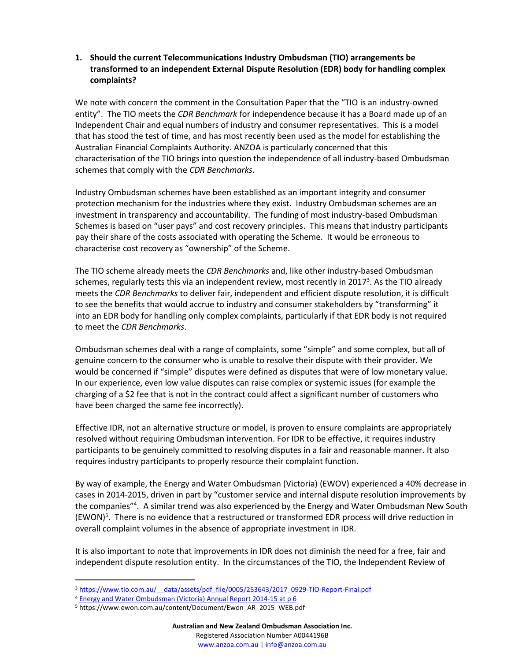## **1. Should the current Telecommunications Industry Ombudsman (TIO) arrangements be transformed to an independent External Dispute Resolution (EDR) body for handling complex complaints?**

We note with concern the comment in the Consultation Paper that the "TIO is an industry-owned entity". The TIO meets the *CDR Benchmark* for independence because it has a Board made up of an Independent Chair and equal numbers of industry and consumer representatives. This is a model that has stood the test of time, and has most recently been used as the model for establishing the Australian Financial Complaints Authority. ANZOA is particularly concerned that this characterisation of the TIO brings into question the independence of all industry-based Ombudsman schemes that comply with the *CDR Benchmarks*.

Industry Ombudsman schemes have been established as an important integrity and consumer protection mechanism for the industries where they exist. Industry Ombudsman schemes are an investment in transparency and accountability. The funding of most industry-based Ombudsman Schemes is based on "user pays" and cost recovery principles. This means that industry participants pay their share of the costs associated with operating the Scheme. It would be erroneous to characterise cost recovery as "ownership" of the Scheme.

The TIO scheme already meets the *CDR Benchmarks* and, like other industry-based Ombudsman schemes, regularly tests this via an independent review, most recently in 2017<sup>3</sup>. As the TIO already meets the *CDR Benchmarks* to deliver fair, independent and efficient dispute resolution, it is difficult to see the benefits that would accrue to industry and consumer stakeholders by "transforming" it into an EDR body for handling only complex complaints, particularly if that EDR body is not required to meet the *CDR Benchmarks*.

Ombudsman schemes deal with a range of complaints, some "simple" and some complex, but all of genuine concern to the consumer who is unable to resolve their dispute with their provider. We would be concerned if "simple" disputes were defined as disputes that were of low monetary value. In our experience, even low value disputes can raise complex or systemic issues (for example the charging of a \$2 fee that is not in the contract could affect a significant number of customers who have been charged the same fee incorrectly).

Effective IDR, not an alternative structure or model, is proven to ensure complaints are appropriately resolved without requiring Ombudsman intervention. For IDR to be effective, it requires industry participants to be genuinely committed to resolving disputes in a fair and reasonable manner. It also requires industry participants to properly resource their complaint function.

By way of example, the Energy and Water Ombudsman (Victoria) (EWOV) experienced a 40% decrease in cases in 2014-2015, driven in part by "customer service and internal dispute resolution improvements by the companies"<sup>4</sup>. A similar trend was also experienced by the Energy and Water Ombudsman New South (EWON) 5 . There is no evidence that a restructured or transformed EDR process will drive reduction in overall complaint volumes in the absence of appropriate investment in IDR.

It is also important to note that improvements in IDR does not diminish the need for a free, fair and independent dispute resolution entity. In the circumstances of the TIO, the Independent Review of

<sup>&</sup>lt;sup>3</sup> https://www.tio.com.au/ data/assets/pdf\_file/0005/253643/2017\_0929-TIO-Report-Final.pdf

<sup>4</sup> [Energy and Water Ombudsman \(Victoria\) Annual Report 2014-15 at p 6](https://www.ewov.com.au/files/ewov_2015_annual_report.pdf)

<sup>5</sup> https://www.ewon.com.au/content/Document/Ewon\_AR\_2015\_WEB.pdf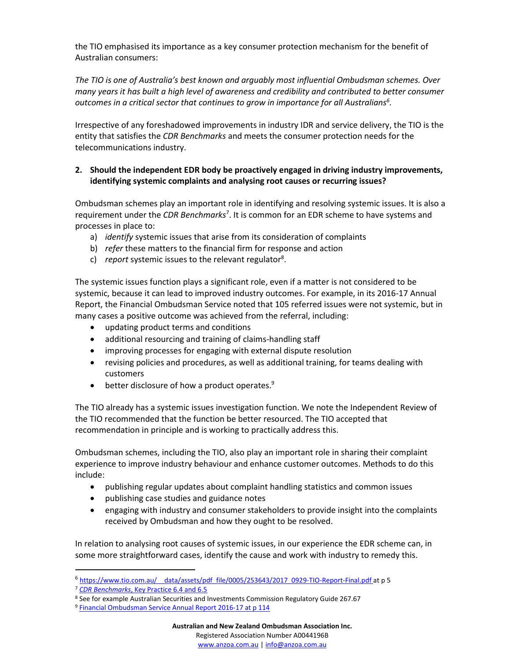the TIO emphasised its importance as a key consumer protection mechanism for the benefit of Australian consumers:

*The TIO is one of Australia's best known and arguably most influential Ombudsman schemes. Over many years it has built a high level of awareness and credibility and contributed to better consumer outcomes in a critical sector that continues to grow in importance for all Australians<sup>6</sup> .*

Irrespective of any foreshadowed improvements in industry IDR and service delivery, the TIO is the entity that satisfies the *CDR Benchmarks* and meets the consumer protection needs for the telecommunications industry.

## **2. Should the independent EDR body be proactively engaged in driving industry improvements, identifying systemic complaints and analysing root causes or recurring issues?**

Ombudsman schemes play an important role in identifying and resolving systemic issues. It is also a requirement under the *CDR Benchmarks*<sup>7</sup> . It is common for an EDR scheme to have systems and processes in place to:

- a) *identify* systemic issues that arise from its consideration of complaints
- b) *refer* these matters to the financial firm for response and action
- c) report systemic issues to the relevant regulator<sup>8</sup>.

The systemic issues function plays a significant role, even if a matter is not considered to be systemic, because it can lead to improved industry outcomes. For example, in its 2016-17 Annual Report, the Financial Ombudsman Service noted that 105 referred issues were not systemic, but in many cases a positive outcome was achieved from the referral, including:

- updating product terms and conditions
- additional resourcing and training of claims-handling staff
- improving processes for engaging with external dispute resolution
- revising policies and procedures, as well as additional training, for teams dealing with customers
- $\bullet$  better disclosure of how a product operates.<sup>9</sup>

The TIO already has a systemic issues investigation function. We note the Independent Review of the TIO recommended that the function be better resourced. The TIO accepted that recommendation in principle and is working to practically address this.

Ombudsman schemes, including the TIO, also play an important role in sharing their complaint experience to improve industry behaviour and enhance customer outcomes. Methods to do this include:

- publishing regular updates about complaint handling statistics and common issues
- publishing case studies and guidance notes
- engaging with industry and consumer stakeholders to provide insight into the complaints received by Ombudsman and how they ought to be resolved.

In relation to analysing root causes of systemic issues, in our experience the EDR scheme can, in some more straightforward cases, identify the cause and work with industry to remedy this.

<sup>6</sup> [https://www.tio.com.au/\\_\\_data/assets/pdf\\_file/0005/253643/2017\\_0929-TIO-Report-Final.pdf](https://www.tio.com.au/__data/assets/pdf_file/0005/253643/2017_0929-TIO-Report-Final.pdf) at p 5

<sup>7</sup> *CDR Benchmarks*[, Key Practice 6.4 and 6.5](https://treasury.gov.au/publication/key-practices-for-industry-based-customer-dispute-resolution/)

<sup>8</sup> See for example Australian Securities and Investments Commission Regulatory Guide 267.67

<sup>9</sup> [Financial Ombudsman Service Annual Report 2016-17 at p 114](http://www.fos.org.au/custom/files/docs/fos-annual-review-20162017.pdf)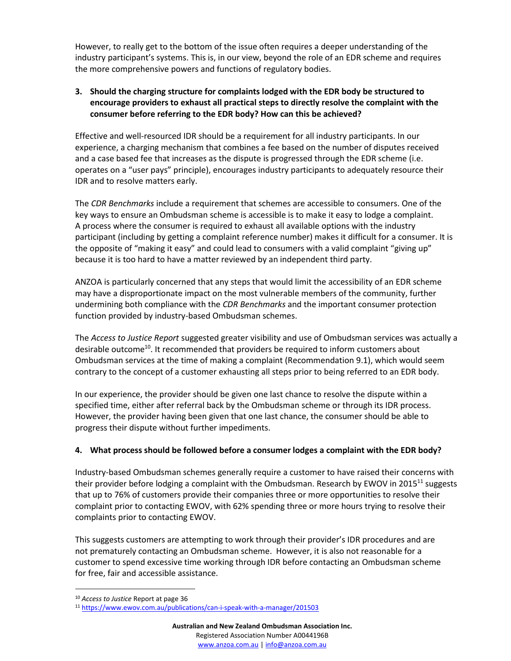However, to really get to the bottom of the issue often requires a deeper understanding of the industry participant's systems. This is, in our view, beyond the role of an EDR scheme and requires the more comprehensive powers and functions of regulatory bodies.

## **3. Should the charging structure for complaints lodged with the EDR body be structured to encourage providers to exhaust all practical steps to directly resolve the complaint with the consumer before referring to the EDR body? How can this be achieved?**

Effective and well-resourced IDR should be a requirement for all industry participants. In our experience, a charging mechanism that combines a fee based on the number of disputes received and a case based fee that increases as the dispute is progressed through the EDR scheme (i.e. operates on a "user pays" principle), encourages industry participants to adequately resource their IDR and to resolve matters early.

The *CDR Benchmarks* include a requirement that schemes are accessible to consumers. One of the key ways to ensure an Ombudsman scheme is accessible is to make it easy to lodge a complaint. A process where the consumer is required to exhaust all available options with the industry participant (including by getting a complaint reference number) makes it difficult for a consumer. It is the opposite of "making it easy" and could lead to consumers with a valid complaint "giving up" because it is too hard to have a matter reviewed by an independent third party.

ANZOA is particularly concerned that any steps that would limit the accessibility of an EDR scheme may have a disproportionate impact on the most vulnerable members of the community, further undermining both compliance with the *CDR Benchmarks* and the important consumer protection function provided by industry-based Ombudsman schemes.

The *Access to Justice Report* suggested greater visibility and use of Ombudsman services was actually a desirable outcome<sup>10</sup>. It recommended that providers be required to inform customers about Ombudsman services at the time of making a complaint (Recommendation 9.1), which would seem contrary to the concept of a customer exhausting all steps prior to being referred to an EDR body.

In our experience, the provider should be given one last chance to resolve the dispute within a specified time, either after referral back by the Ombudsman scheme or through its IDR process. However, the provider having been given that one last chance, the consumer should be able to progress their dispute without further impediments.

## **4. What process should be followed before a consumer lodges a complaint with the EDR body?**

Industry-based Ombudsman schemes generally require a customer to have raised their concerns with their provider before lodging a complaint with the Ombudsman. Research by EWOV in 2015<sup>11</sup> suggests that up to 76% of customers provide their companies three or more opportunities to resolve their complaint prior to contacting EWOV, with 62% spending three or more hours trying to resolve their complaints prior to contacting EWOV.

This suggests customers are attempting to work through their provider's IDR procedures and are not prematurely contacting an Ombudsman scheme. However, it is also not reasonable for a customer to spend excessive time working through IDR before contacting an Ombudsman scheme for free, fair and accessible assistance.

<sup>10</sup> *Access to Justice* Report at page 36

<sup>11</sup> <https://www.ewov.com.au/publications/can-i-speak-with-a-manager/201503>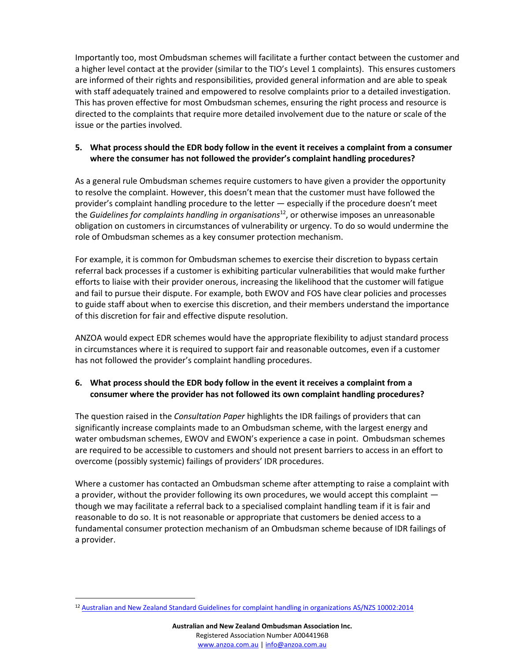Importantly too, most Ombudsman schemes will facilitate a further contact between the customer and a higher level contact at the provider (similar to the TIO's Level 1 complaints). This ensures customers are informed of their rights and responsibilities, provided general information and are able to speak with staff adequately trained and empowered to resolve complaints prior to a detailed investigation. This has proven effective for most Ombudsman schemes, ensuring the right process and resource is directed to the complaints that require more detailed involvement due to the nature or scale of the issue or the parties involved.

## **5. What process should the EDR body follow in the event it receives a complaint from a consumer where the consumer has not followed the provider's complaint handling procedures?**

As a general rule Ombudsman schemes require customers to have given a provider the opportunity to resolve the complaint. However, this doesn't mean that the customer must have followed the provider's complaint handling procedure to the letter — especially if the procedure doesn't meet the *Guidelines for complaints handling in organisations*<sup>12</sup>, or otherwise imposes an unreasonable obligation on customers in circumstances of vulnerability or urgency. To do so would undermine the role of Ombudsman schemes as a key consumer protection mechanism.

For example, it is common for Ombudsman schemes to exercise their discretion to bypass certain referral back processes if a customer is exhibiting particular vulnerabilities that would make further efforts to liaise with their provider onerous, increasing the likelihood that the customer will fatigue and fail to pursue their dispute. For example, both EWOV and FOS have clear policies and processes to guide staff about when to exercise this discretion, and their members understand the importance of this discretion for fair and effective dispute resolution.

ANZOA would expect EDR schemes would have the appropriate flexibility to adjust standard process in circumstances where it is required to support fair and reasonable outcomes, even if a customer has not followed the provider's complaint handling procedures.

# **6. What process should the EDR body follow in the event it receives a complaint from a consumer where the provider has not followed its own complaint handling procedures?**

The question raised in the *Consultation Paper* highlights the IDR failings of providers that can significantly increase complaints made to an Ombudsman scheme, with the largest energy and water ombudsman schemes, EWOV and EWON's experience a case in point. Ombudsman schemes are required to be accessible to customers and should not present barriers to access in an effort to overcome (possibly systemic) failings of providers' IDR procedures.

Where a customer has contacted an Ombudsman scheme after attempting to raise a complaint with a provider, without the provider following its own procedures, we would accept this complaint though we may facilitate a referral back to a specialised complaint handling team if it is fair and reasonable to do so. It is not reasonable or appropriate that customers be denied access to a fundamental consumer protection mechanism of an Ombudsman scheme because of IDR failings of a provider.

<sup>&</sup>lt;sup>12</sup> [Australian and New Zealand Standard Guidelines for complaint handling in organizations AS/NZS 10002:2014](https://www.standards.org.au/standards-catalogue/sa-snz/publicsafety/qr-015/as-slash-nzs--10002-colon-2014)